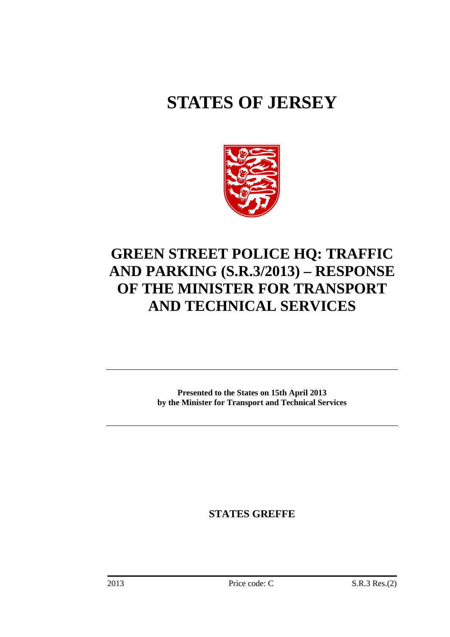# **STATES OF JERSEY**



# **GREEN STREET POLICE HQ: TRAFFIC AND PARKING (S.R.3/2013) – RESPONSE OF THE MINISTER FOR TRANSPORT AND TECHNICAL SERVICES**

**Presented to the States on 15th April 2013 by the Minister for Transport and Technical Services** 

**STATES GREFFE**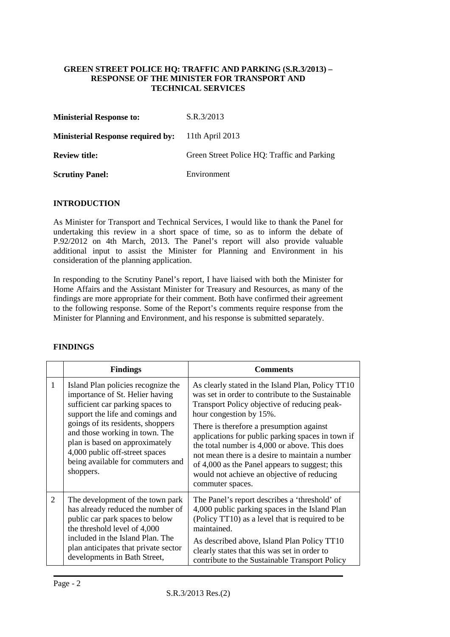#### **GREEN STREET POLICE HQ: TRAFFIC AND PARKING (S.R.3/2013) – RESPONSE OF THE MINISTER FOR TRANSPORT AND TECHNICAL SERVICES**

| <b>Ministerial Response to:</b>          | S.R.3/2013                                  |
|------------------------------------------|---------------------------------------------|
| <b>Ministerial Response required by:</b> | 11th April $2013$                           |
| <b>Review title:</b>                     | Green Street Police HQ: Traffic and Parking |
| <b>Scrutiny Panel:</b>                   | Environment                                 |

## **INTRODUCTION**

As Minister for Transport and Technical Services, I would like to thank the Panel for undertaking this review in a short space of time, so as to inform the debate of P.92/2012 on 4th March, 2013. The Panel's report will also provide valuable additional input to assist the Minister for Planning and Environment in his consideration of the planning application.

In responding to the Scrutiny Panel's report, I have liaised with both the Minister for Home Affairs and the Assistant Minister for Treasury and Resources, as many of the findings are more appropriate for their comment. Both have confirmed their agreement to the following response. Some of the Report's comments require response from the Minister for Planning and Environment, and his response is submitted separately.

|                | <b>Findings</b>                                                                                                                                                                                                                                                                                                                            | <b>Comments</b>                                                                                                                                                                                                                                                                                                                                                                                                                                                                                            |  |
|----------------|--------------------------------------------------------------------------------------------------------------------------------------------------------------------------------------------------------------------------------------------------------------------------------------------------------------------------------------------|------------------------------------------------------------------------------------------------------------------------------------------------------------------------------------------------------------------------------------------------------------------------------------------------------------------------------------------------------------------------------------------------------------------------------------------------------------------------------------------------------------|--|
| 1              | Island Plan policies recognize the<br>importance of St. Helier having<br>sufficient car parking spaces to<br>support the life and comings and<br>goings of its residents, shoppers<br>and those working in town. The<br>plan is based on approximately<br>4,000 public off-street spaces<br>being available for commuters and<br>shoppers. | As clearly stated in the Island Plan, Policy TT10<br>was set in order to contribute to the Sustainable<br>Transport Policy objective of reducing peak-<br>hour congestion by 15%.<br>There is therefore a presumption against<br>applications for public parking spaces in town if<br>the total number is 4,000 or above. This does<br>not mean there is a desire to maintain a number<br>of 4,000 as the Panel appears to suggest; this<br>would not achieve an objective of reducing<br>commuter spaces. |  |
| $\overline{2}$ | The development of the town park<br>has already reduced the number of<br>public car park spaces to below<br>the threshold level of 4,000<br>included in the Island Plan. The<br>plan anticipates that private sector<br>developments in Bath Street,                                                                                       | The Panel's report describes a 'threshold' of<br>4,000 public parking spaces in the Island Plan<br>(Policy TT10) as a level that is required to be<br>maintained.<br>As described above, Island Plan Policy TT10<br>clearly states that this was set in order to<br>contribute to the Sustainable Transport Policy                                                                                                                                                                                         |  |

# **FINDINGS**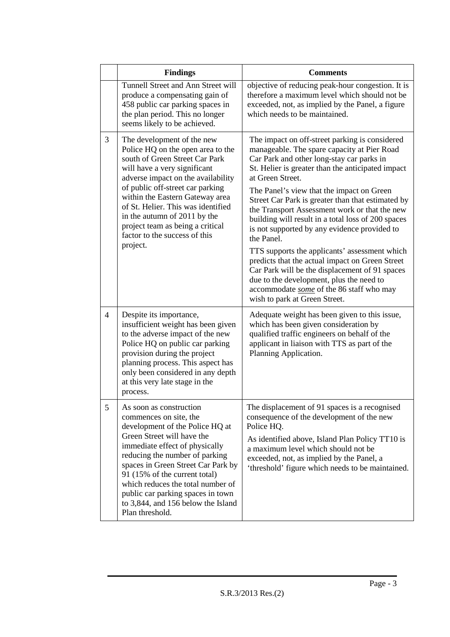|                | <b>Findings</b>                                                                                                                                                                                                                                                                                                                                                                                       | <b>Comments</b>                                                                                                                                                                                                                                                                                                                                                                                                                                                                                                                                                                                                                                                                                                                                                           |
|----------------|-------------------------------------------------------------------------------------------------------------------------------------------------------------------------------------------------------------------------------------------------------------------------------------------------------------------------------------------------------------------------------------------------------|---------------------------------------------------------------------------------------------------------------------------------------------------------------------------------------------------------------------------------------------------------------------------------------------------------------------------------------------------------------------------------------------------------------------------------------------------------------------------------------------------------------------------------------------------------------------------------------------------------------------------------------------------------------------------------------------------------------------------------------------------------------------------|
|                | Tunnell Street and Ann Street will<br>produce a compensating gain of<br>458 public car parking spaces in<br>the plan period. This no longer<br>seems likely to be achieved.                                                                                                                                                                                                                           | objective of reducing peak-hour congestion. It is<br>therefore a maximum level which should not be<br>exceeded, not, as implied by the Panel, a figure<br>which needs to be maintained.                                                                                                                                                                                                                                                                                                                                                                                                                                                                                                                                                                                   |
| 3              | The development of the new<br>Police HQ on the open area to the<br>south of Green Street Car Park<br>will have a very significant<br>adverse impact on the availability<br>of public off-street car parking<br>within the Eastern Gateway area<br>of St. Helier. This was identified<br>in the autumn of 2011 by the<br>project team as being a critical<br>factor to the success of this<br>project. | The impact on off-street parking is considered<br>manageable. The spare capacity at Pier Road<br>Car Park and other long-stay car parks in<br>St. Helier is greater than the anticipated impact<br>at Green Street.<br>The Panel's view that the impact on Green<br>Street Car Park is greater than that estimated by<br>the Transport Assessment work or that the new<br>building will result in a total loss of 200 spaces<br>is not supported by any evidence provided to<br>the Panel.<br>TTS supports the applicants' assessment which<br>predicts that the actual impact on Green Street<br>Car Park will be the displacement of 91 spaces<br>due to the development, plus the need to<br>accommodate some of the 86 staff who may<br>wish to park at Green Street. |
| $\overline{4}$ | Despite its importance,<br>insufficient weight has been given<br>to the adverse impact of the new<br>Police HQ on public car parking<br>provision during the project<br>planning process. This aspect has<br>only been considered in any depth<br>at this very late stage in the<br>process.                                                                                                          | Adequate weight has been given to this issue,<br>which has been given consideration by<br>qualified traffic engineers on behalf of the<br>applicant in liaison with TTS as part of the<br>Planning Application.                                                                                                                                                                                                                                                                                                                                                                                                                                                                                                                                                           |
| 5              | As soon as construction<br>commences on site, the<br>development of the Police HQ at<br>Green Street will have the<br>immediate effect of physically<br>reducing the number of parking<br>spaces in Green Street Car Park by<br>91 (15% of the current total)<br>which reduces the total number of<br>public car parking spaces in town<br>to 3,844, and 156 below the Island<br>Plan threshold.      | The displacement of 91 spaces is a recognised<br>consequence of the development of the new<br>Police HQ.<br>As identified above, Island Plan Policy TT10 is<br>a maximum level which should not be<br>exceeded, not, as implied by the Panel, a<br>'threshold' figure which needs to be maintained.                                                                                                                                                                                                                                                                                                                                                                                                                                                                       |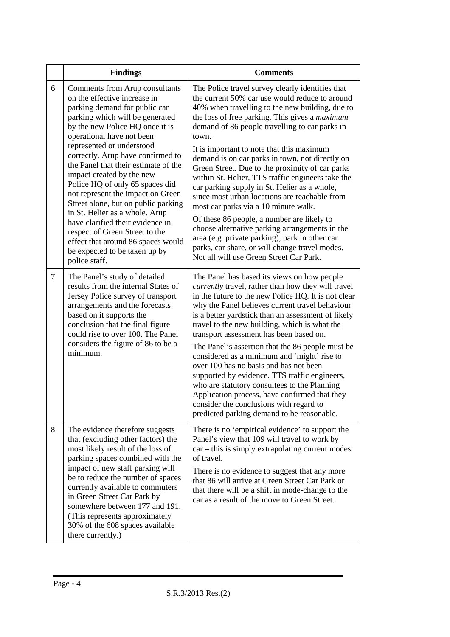|                | <b>Findings</b>                                                                                                                                                                                                                                                                                                                                                                                                                                                                                                                                                                                                                                          | <b>Comments</b>                                                                                                                                                                                                                                                                                                                                                                                                                                                                                                                                                                                                                                                                                                                                                                                                                                                           |
|----------------|----------------------------------------------------------------------------------------------------------------------------------------------------------------------------------------------------------------------------------------------------------------------------------------------------------------------------------------------------------------------------------------------------------------------------------------------------------------------------------------------------------------------------------------------------------------------------------------------------------------------------------------------------------|---------------------------------------------------------------------------------------------------------------------------------------------------------------------------------------------------------------------------------------------------------------------------------------------------------------------------------------------------------------------------------------------------------------------------------------------------------------------------------------------------------------------------------------------------------------------------------------------------------------------------------------------------------------------------------------------------------------------------------------------------------------------------------------------------------------------------------------------------------------------------|
| 6              | Comments from Arup consultants<br>on the effective increase in<br>parking demand for public car<br>parking which will be generated<br>by the new Police HQ once it is<br>operational have not been<br>represented or understood<br>correctly. Arup have confirmed to<br>the Panel that their estimate of the<br>impact created by the new<br>Police HQ of only 65 spaces did<br>not represent the impact on Green<br>Street alone, but on public parking<br>in St. Helier as a whole. Arup<br>have clarified their evidence in<br>respect of Green Street to the<br>effect that around 86 spaces would<br>be expected to be taken up by<br>police staff. | The Police travel survey clearly identifies that<br>the current 50% car use would reduce to around<br>40% when travelling to the new building, due to<br>the loss of free parking. This gives a <i>maximum</i><br>demand of 86 people travelling to car parks in<br>town.<br>It is important to note that this maximum<br>demand is on car parks in town, not directly on<br>Green Street. Due to the proximity of car parks<br>within St. Helier, TTS traffic engineers take the<br>car parking supply in St. Helier as a whole,<br>since most urban locations are reachable from<br>most car parks via a 10 minute walk.<br>Of these 86 people, a number are likely to<br>choose alternative parking arrangements in the<br>area (e.g. private parking), park in other car<br>parks, car share, or will change travel modes.<br>Not all will use Green Street Car Park. |
| $\overline{7}$ | The Panel's study of detailed<br>results from the internal States of<br>Jersey Police survey of transport<br>arrangements and the forecasts<br>based on it supports the<br>conclusion that the final figure<br>could rise to over 100. The Panel<br>considers the figure of 86 to be a<br>minimum.                                                                                                                                                                                                                                                                                                                                                       | The Panel has based its views on how people<br><i>currently</i> travel, rather than how they will travel<br>in the future to the new Police HQ. It is not clear<br>why the Panel believes current travel behaviour<br>is a better yardstick than an assessment of likely<br>travel to the new building, which is what the<br>transport assessment has been based on.<br>The Panel's assertion that the 86 people must be<br>considered as a minimum and 'might' rise to<br>over 100 has no basis and has not been<br>supported by evidence. TTS traffic engineers,<br>who are statutory consultees to the Planning<br>Application process, have confirmed that they<br>consider the conclusions with regard to<br>predicted parking demand to be reasonable.                                                                                                              |
| 8              | The evidence therefore suggests<br>that (excluding other factors) the<br>most likely result of the loss of<br>parking spaces combined with the<br>impact of new staff parking will<br>be to reduce the number of spaces<br>currently available to commuters<br>in Green Street Car Park by<br>somewhere between 177 and 191.<br>(This represents approximately)<br>30% of the 608 spaces available<br>there currently.)                                                                                                                                                                                                                                  | There is no 'empirical evidence' to support the<br>Panel's view that 109 will travel to work by<br>$car - this$ is simply extrapolating current modes<br>of travel.<br>There is no evidence to suggest that any more<br>that 86 will arrive at Green Street Car Park or<br>that there will be a shift in mode-change to the<br>car as a result of the move to Green Street.                                                                                                                                                                                                                                                                                                                                                                                                                                                                                               |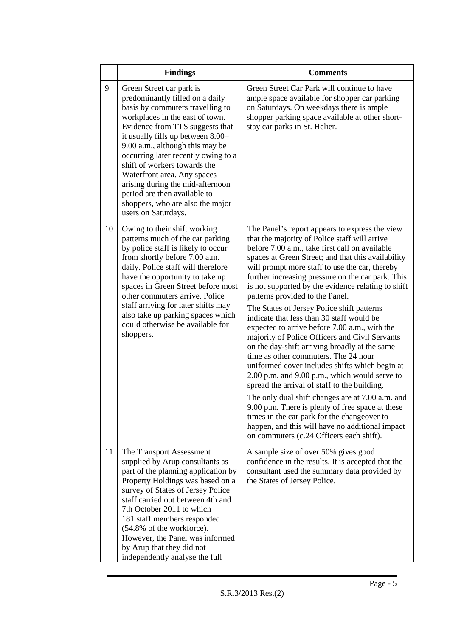|    | <b>Findings</b>                                                                                                                                                                                                                                                                                                                                                                                                                                                                    | <b>Comments</b>                                                                                                                                                                                                                                                                                                                                                                                                                                                                                                                                                                                                                                                                                                                                                                                                                                                                                                                                                                                                                                                                                         |
|----|------------------------------------------------------------------------------------------------------------------------------------------------------------------------------------------------------------------------------------------------------------------------------------------------------------------------------------------------------------------------------------------------------------------------------------------------------------------------------------|---------------------------------------------------------------------------------------------------------------------------------------------------------------------------------------------------------------------------------------------------------------------------------------------------------------------------------------------------------------------------------------------------------------------------------------------------------------------------------------------------------------------------------------------------------------------------------------------------------------------------------------------------------------------------------------------------------------------------------------------------------------------------------------------------------------------------------------------------------------------------------------------------------------------------------------------------------------------------------------------------------------------------------------------------------------------------------------------------------|
| 9  | Green Street car park is<br>predominantly filled on a daily<br>basis by commuters travelling to<br>workplaces in the east of town.<br>Evidence from TTS suggests that<br>it usually fills up between 8.00-<br>9.00 a.m., although this may be<br>occurring later recently owing to a<br>shift of workers towards the<br>Waterfront area. Any spaces<br>arising during the mid-afternoon<br>period are then available to<br>shoppers, who are also the major<br>users on Saturdays. | Green Street Car Park will continue to have<br>ample space available for shopper car parking<br>on Saturdays. On weekdays there is ample<br>shopper parking space available at other short-<br>stay car parks in St. Helier.                                                                                                                                                                                                                                                                                                                                                                                                                                                                                                                                                                                                                                                                                                                                                                                                                                                                            |
| 10 | Owing to their shift working<br>patterns much of the car parking<br>by police staff is likely to occur<br>from shortly before 7.00 a.m.<br>daily. Police staff will therefore<br>have the opportunity to take up<br>spaces in Green Street before most<br>other commuters arrive. Police<br>staff arriving for later shifts may<br>also take up parking spaces which<br>could otherwise be available for<br>shoppers.                                                              | The Panel's report appears to express the view<br>that the majority of Police staff will arrive<br>before 7.00 a.m., take first call on available<br>spaces at Green Street; and that this availability<br>will prompt more staff to use the car, thereby<br>further increasing pressure on the car park. This<br>is not supported by the evidence relating to shift<br>patterns provided to the Panel.<br>The States of Jersey Police shift patterns<br>indicate that less than 30 staff would be<br>expected to arrive before 7.00 a.m., with the<br>majority of Police Officers and Civil Servants<br>on the day-shift arriving broadly at the same<br>time as other commuters. The 24 hour<br>uniformed cover includes shifts which begin at<br>2.00 p.m. and 9.00 p.m., which would serve to<br>spread the arrival of staff to the building.<br>The only dual shift changes are at 7.00 a.m. and<br>9.00 p.m. There is plenty of free space at these<br>times in the car park for the changeover to<br>happen, and this will have no additional impact<br>on commuters (c.24 Officers each shift). |
| 11 | The Transport Assessment<br>supplied by Arup consultants as<br>part of the planning application by<br>Property Holdings was based on a<br>survey of States of Jersey Police<br>staff carried out between 4th and<br>7th October 2011 to which<br>181 staff members responded<br>(54.8% of the workforce).<br>However, the Panel was informed<br>by Arup that they did not<br>independently analyse the full                                                                        | A sample size of over 50% gives good<br>confidence in the results. It is accepted that the<br>consultant used the summary data provided by<br>the States of Jersey Police.                                                                                                                                                                                                                                                                                                                                                                                                                                                                                                                                                                                                                                                                                                                                                                                                                                                                                                                              |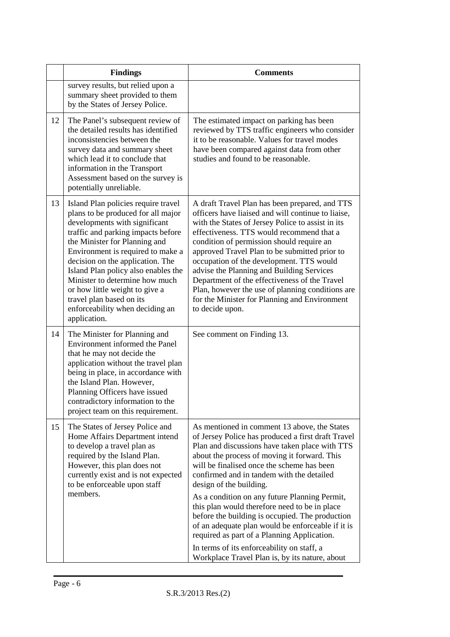|    | <b>Findings</b>                                                                                                                                                                                                                                                                                                                                                                                                                                      | <b>Comments</b>                                                                                                                                                                                                                                                                                                                                                                                                                                                                                                                                                                     |
|----|------------------------------------------------------------------------------------------------------------------------------------------------------------------------------------------------------------------------------------------------------------------------------------------------------------------------------------------------------------------------------------------------------------------------------------------------------|-------------------------------------------------------------------------------------------------------------------------------------------------------------------------------------------------------------------------------------------------------------------------------------------------------------------------------------------------------------------------------------------------------------------------------------------------------------------------------------------------------------------------------------------------------------------------------------|
|    | survey results, but relied upon a<br>summary sheet provided to them<br>by the States of Jersey Police.                                                                                                                                                                                                                                                                                                                                               |                                                                                                                                                                                                                                                                                                                                                                                                                                                                                                                                                                                     |
| 12 | The Panel's subsequent review of<br>the detailed results has identified<br>inconsistencies between the<br>survey data and summary sheet<br>which lead it to conclude that<br>information in the Transport<br>Assessment based on the survey is<br>potentially unreliable.                                                                                                                                                                            | The estimated impact on parking has been<br>reviewed by TTS traffic engineers who consider<br>it to be reasonable. Values for travel modes<br>have been compared against data from other<br>studies and found to be reasonable.                                                                                                                                                                                                                                                                                                                                                     |
| 13 | Island Plan policies require travel<br>plans to be produced for all major<br>developments with significant<br>traffic and parking impacts before<br>the Minister for Planning and<br>Environment is required to make a<br>decision on the application. The<br>Island Plan policy also enables the<br>Minister to determine how much<br>or how little weight to give a<br>travel plan based on its<br>enforceability when deciding an<br>application. | A draft Travel Plan has been prepared, and TTS<br>officers have liaised and will continue to liaise,<br>with the States of Jersey Police to assist in its<br>effectiveness. TTS would recommend that a<br>condition of permission should require an<br>approved Travel Plan to be submitted prior to<br>occupation of the development. TTS would<br>advise the Planning and Building Services<br>Department of the effectiveness of the Travel<br>Plan, however the use of planning conditions are<br>for the Minister for Planning and Environment<br>to decide upon.              |
| 14 | The Minister for Planning and<br>Environment informed the Panel<br>that he may not decide the<br>application without the travel plan<br>being in place, in accordance with<br>the Island Plan. However,<br>Planning Officers have issued<br>contradictory information to the<br>project team on this requirement.                                                                                                                                    | See comment on Finding 13.                                                                                                                                                                                                                                                                                                                                                                                                                                                                                                                                                          |
| 15 | The States of Jersey Police and<br>Home Affairs Department intend<br>to develop a travel plan as<br>required by the Island Plan.<br>However, this plan does not<br>currently exist and is not expected<br>to be enforceable upon staff<br>members.                                                                                                                                                                                                   | As mentioned in comment 13 above, the States<br>of Jersey Police has produced a first draft Travel<br>Plan and discussions have taken place with TTS<br>about the process of moving it forward. This<br>will be finalised once the scheme has been<br>confirmed and in tandem with the detailed<br>design of the building.<br>As a condition on any future Planning Permit,<br>this plan would therefore need to be in place<br>before the building is occupied. The production<br>of an adequate plan would be enforceable if it is<br>required as part of a Planning Application. |
|    |                                                                                                                                                                                                                                                                                                                                                                                                                                                      | In terms of its enforceability on staff, a<br>Workplace Travel Plan is, by its nature, about                                                                                                                                                                                                                                                                                                                                                                                                                                                                                        |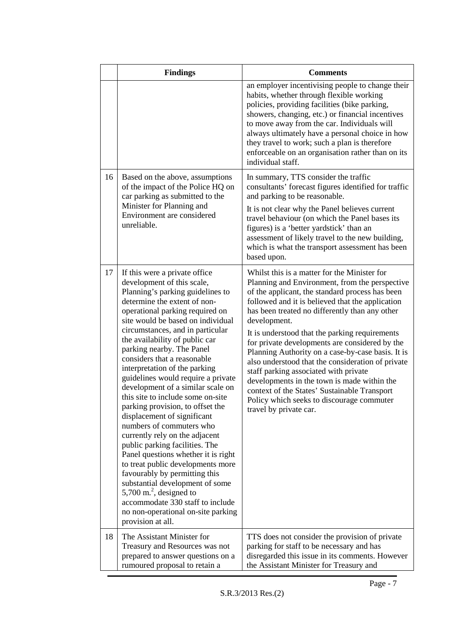|    | <b>Findings</b>                                                                                                                                                                                                                                                                                                                                                                                                                                                                                                                                                                                                                                                                                                                                                                                                                                                                                                                                     | <b>Comments</b>                                                                                                                                                                                                                                                                                                                                                                                                                                                                                                                                                                                                                                                                                      |
|----|-----------------------------------------------------------------------------------------------------------------------------------------------------------------------------------------------------------------------------------------------------------------------------------------------------------------------------------------------------------------------------------------------------------------------------------------------------------------------------------------------------------------------------------------------------------------------------------------------------------------------------------------------------------------------------------------------------------------------------------------------------------------------------------------------------------------------------------------------------------------------------------------------------------------------------------------------------|------------------------------------------------------------------------------------------------------------------------------------------------------------------------------------------------------------------------------------------------------------------------------------------------------------------------------------------------------------------------------------------------------------------------------------------------------------------------------------------------------------------------------------------------------------------------------------------------------------------------------------------------------------------------------------------------------|
|    |                                                                                                                                                                                                                                                                                                                                                                                                                                                                                                                                                                                                                                                                                                                                                                                                                                                                                                                                                     | an employer incentivising people to change their<br>habits, whether through flexible working<br>policies, providing facilities (bike parking,<br>showers, changing, etc.) or financial incentives<br>to move away from the car. Individuals will<br>always ultimately have a personal choice in how<br>they travel to work; such a plan is therefore<br>enforceable on an organisation rather than on its<br>individual staff.                                                                                                                                                                                                                                                                       |
| 16 | Based on the above, assumptions<br>of the impact of the Police HQ on<br>car parking as submitted to the<br>Minister for Planning and<br>Environment are considered<br>unreliable.                                                                                                                                                                                                                                                                                                                                                                                                                                                                                                                                                                                                                                                                                                                                                                   | In summary, TTS consider the traffic<br>consultants' forecast figures identified for traffic<br>and parking to be reasonable.<br>It is not clear why the Panel believes current<br>travel behaviour (on which the Panel bases its<br>figures) is a 'better yardstick' than an<br>assessment of likely travel to the new building,<br>which is what the transport assessment has been<br>based upon.                                                                                                                                                                                                                                                                                                  |
| 17 | If this were a private office<br>development of this scale,<br>Planning's parking guidelines to<br>determine the extent of non-<br>operational parking required on<br>site would be based on individual<br>circumstances, and in particular<br>the availability of public car<br>parking nearby. The Panel<br>considers that a reasonable<br>interpretation of the parking<br>guidelines would require a private<br>development of a similar scale on<br>this site to include some on-site<br>parking provision, to offset the<br>displacement of significant<br>numbers of commuters who<br>currently rely on the adjacent<br>public parking facilities. The<br>Panel questions whether it is right<br>to treat public developments more<br>favourably by permitting this<br>substantial development of some<br>5,700 m. <sup>2</sup> , designed to<br>accommodate 330 staff to include<br>no non-operational on-site parking<br>provision at all. | Whilst this is a matter for the Minister for<br>Planning and Environment, from the perspective<br>of the applicant, the standard process has been<br>followed and it is believed that the application<br>has been treated no differently than any other<br>development.<br>It is understood that the parking requirements<br>for private developments are considered by the<br>Planning Authority on a case-by-case basis. It is<br>also understood that the consideration of private<br>staff parking associated with private<br>developments in the town is made within the<br>context of the States' Sustainable Transport<br>Policy which seeks to discourage commuter<br>travel by private car. |
| 18 | The Assistant Minister for<br>Treasury and Resources was not<br>prepared to answer questions on a<br>rumoured proposal to retain a                                                                                                                                                                                                                                                                                                                                                                                                                                                                                                                                                                                                                                                                                                                                                                                                                  | TTS does not consider the provision of private<br>parking for staff to be necessary and has<br>disregarded this issue in its comments. However<br>the Assistant Minister for Treasury and                                                                                                                                                                                                                                                                                                                                                                                                                                                                                                            |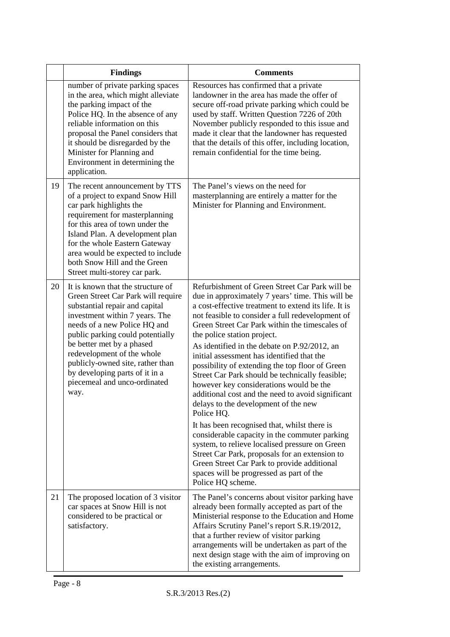|    | <b>Findings</b>                                                                                                                                                                                                                                                                                                                                                                          | <b>Comments</b>                                                                                                                                                                                                                                                                                                                                                                                                                                                                                                                                                                                                                                                                                                                                                                                                                                                                                                                                                                |
|----|------------------------------------------------------------------------------------------------------------------------------------------------------------------------------------------------------------------------------------------------------------------------------------------------------------------------------------------------------------------------------------------|--------------------------------------------------------------------------------------------------------------------------------------------------------------------------------------------------------------------------------------------------------------------------------------------------------------------------------------------------------------------------------------------------------------------------------------------------------------------------------------------------------------------------------------------------------------------------------------------------------------------------------------------------------------------------------------------------------------------------------------------------------------------------------------------------------------------------------------------------------------------------------------------------------------------------------------------------------------------------------|
|    | number of private parking spaces<br>in the area, which might alleviate<br>the parking impact of the<br>Police HQ. In the absence of any<br>reliable information on this<br>proposal the Panel considers that<br>it should be disregarded by the<br>Minister for Planning and<br>Environment in determining the<br>application.                                                           | Resources has confirmed that a private<br>landowner in the area has made the offer of<br>secure off-road private parking which could be<br>used by staff. Written Question 7226 of 20th<br>November publicly responded to this issue and<br>made it clear that the landowner has requested<br>that the details of this offer, including location,<br>remain confidential for the time being.                                                                                                                                                                                                                                                                                                                                                                                                                                                                                                                                                                                   |
| 19 | The recent announcement by TTS<br>of a project to expand Snow Hill<br>car park highlights the<br>requirement for masterplanning<br>for this area of town under the<br>Island Plan. A development plan<br>for the whole Eastern Gateway<br>area would be expected to include<br>both Snow Hill and the Green<br>Street multi-storey car park.                                             | The Panel's views on the need for<br>masterplanning are entirely a matter for the<br>Minister for Planning and Environment.                                                                                                                                                                                                                                                                                                                                                                                                                                                                                                                                                                                                                                                                                                                                                                                                                                                    |
| 20 | It is known that the structure of<br>Green Street Car Park will require<br>substantial repair and capital<br>investment within 7 years. The<br>needs of a new Police HQ and<br>public parking could potentially<br>be better met by a phased<br>redevelopment of the whole<br>publicly-owned site, rather than<br>by developing parts of it in a<br>piecemeal and unco-ordinated<br>way. | Refurbishment of Green Street Car Park will be<br>due in approximately 7 years' time. This will be<br>a cost-effective treatment to extend its life. It is<br>not feasible to consider a full redevelopment of<br>Green Street Car Park within the timescales of<br>the police station project.<br>As identified in the debate on P.92/2012, an<br>initial assessment has identified that the<br>possibility of extending the top floor of Green<br>Street Car Park should be technically feasible;<br>however key considerations would be the<br>additional cost and the need to avoid significant<br>delays to the development of the new<br>Police HQ.<br>It has been recognised that, whilst there is<br>considerable capacity in the commuter parking<br>system, to relieve localised pressure on Green<br>Street Car Park, proposals for an extension to<br>Green Street Car Park to provide additional<br>spaces will be progressed as part of the<br>Police HQ scheme. |
| 21 | The proposed location of 3 visitor<br>car spaces at Snow Hill is not<br>considered to be practical or<br>satisfactory.                                                                                                                                                                                                                                                                   | The Panel's concerns about visitor parking have<br>already been formally accepted as part of the<br>Ministerial response to the Education and Home<br>Affairs Scrutiny Panel's report S.R.19/2012,<br>that a further review of visitor parking<br>arrangements will be undertaken as part of the<br>next design stage with the aim of improving on<br>the existing arrangements.                                                                                                                                                                                                                                                                                                                                                                                                                                                                                                                                                                                               |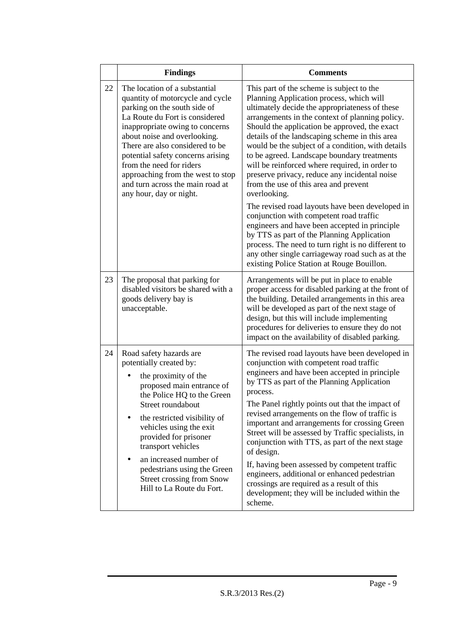|    | <b>Findings</b>                                                                                                                                                                                                                                                                                                                                                                                                | <b>Comments</b>                                                                                                                                                                                                                                                                                                                                                                                                                                                                                                                                                                                                                                                                                                                                            |
|----|----------------------------------------------------------------------------------------------------------------------------------------------------------------------------------------------------------------------------------------------------------------------------------------------------------------------------------------------------------------------------------------------------------------|------------------------------------------------------------------------------------------------------------------------------------------------------------------------------------------------------------------------------------------------------------------------------------------------------------------------------------------------------------------------------------------------------------------------------------------------------------------------------------------------------------------------------------------------------------------------------------------------------------------------------------------------------------------------------------------------------------------------------------------------------------|
| 22 | The location of a substantial<br>quantity of motorcycle and cycle<br>parking on the south side of<br>La Route du Fort is considered<br>inappropriate owing to concerns<br>about noise and overlooking.<br>There are also considered to be<br>potential safety concerns arising<br>from the need for riders<br>approaching from the west to stop<br>and turn across the main road at<br>any hour, day or night. | This part of the scheme is subject to the<br>Planning Application process, which will<br>ultimately decide the appropriateness of these<br>arrangements in the context of planning policy.<br>Should the application be approved, the exact<br>details of the landscaping scheme in this area<br>would be the subject of a condition, with details<br>to be agreed. Landscape boundary treatments<br>will be reinforced where required, in order to<br>preserve privacy, reduce any incidental noise<br>from the use of this area and prevent<br>overlooking.<br>The revised road layouts have been developed in<br>conjunction with competent road traffic<br>engineers and have been accepted in principle<br>by TTS as part of the Planning Application |
|    |                                                                                                                                                                                                                                                                                                                                                                                                                | process. The need to turn right is no different to<br>any other single carriageway road such as at the<br>existing Police Station at Rouge Bouillon.                                                                                                                                                                                                                                                                                                                                                                                                                                                                                                                                                                                                       |
| 23 | The proposal that parking for<br>disabled visitors be shared with a<br>goods delivery bay is<br>unacceptable.                                                                                                                                                                                                                                                                                                  | Arrangements will be put in place to enable<br>proper access for disabled parking at the front of<br>the building. Detailed arrangements in this area<br>will be developed as part of the next stage of<br>design, but this will include implementing<br>procedures for deliveries to ensure they do not<br>impact on the availability of disabled parking.                                                                                                                                                                                                                                                                                                                                                                                                |
| 24 | Road safety hazards are<br>potentially created by:<br>the proximity of the<br>proposed main entrance of<br>the Police HQ to the Green<br>Street roundabout<br>the restricted visibility of<br>vehicles using the exit<br>provided for prisoner<br>transport vehicles<br>an increased number of<br>pedestrians using the Green<br><b>Street crossing from Snow</b><br>Hill to La Route du Fort.                 | The revised road layouts have been developed in<br>conjunction with competent road traffic<br>engineers and have been accepted in principle<br>by TTS as part of the Planning Application<br>process.<br>The Panel rightly points out that the impact of<br>revised arrangements on the flow of traffic is<br>important and arrangements for crossing Green<br>Street will be assessed by Traffic specialists, in<br>conjunction with TTS, as part of the next stage<br>of design.<br>If, having been assessed by competent traffic<br>engineers, additional or enhanced pedestrian<br>crossings are required as a result of this<br>development; they will be included within the<br>scheme.                                                              |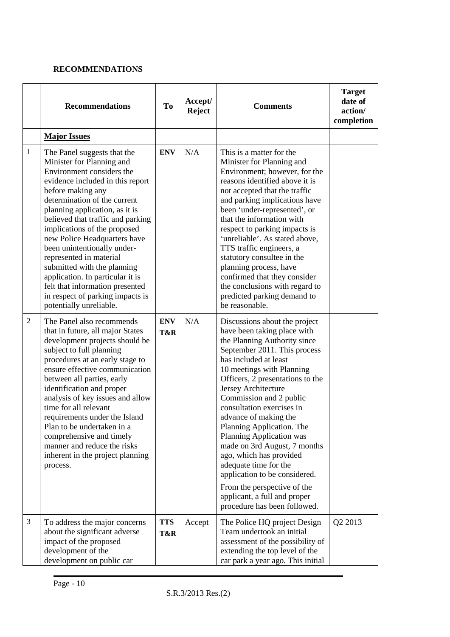### **RECOMMENDATIONS**

|                | <b>Recommendations</b>                                                                                                                                                                                                                                                                                                                                                                                                                                                                                                                               | <b>To</b>         | Accept/<br><b>Reject</b> | <b>Comments</b>                                                                                                                                                                                                                                                                                                                                                                                                                                                                                                                                                                                             | <b>Target</b><br>date of<br>action/<br>completion |
|----------------|------------------------------------------------------------------------------------------------------------------------------------------------------------------------------------------------------------------------------------------------------------------------------------------------------------------------------------------------------------------------------------------------------------------------------------------------------------------------------------------------------------------------------------------------------|-------------------|--------------------------|-------------------------------------------------------------------------------------------------------------------------------------------------------------------------------------------------------------------------------------------------------------------------------------------------------------------------------------------------------------------------------------------------------------------------------------------------------------------------------------------------------------------------------------------------------------------------------------------------------------|---------------------------------------------------|
|                | <b>Major Issues</b>                                                                                                                                                                                                                                                                                                                                                                                                                                                                                                                                  |                   |                          |                                                                                                                                                                                                                                                                                                                                                                                                                                                                                                                                                                                                             |                                                   |
| $\mathbf{1}$   | The Panel suggests that the<br>Minister for Planning and<br>Environment considers the<br>evidence included in this report<br>before making any<br>determination of the current<br>planning application, as it is<br>believed that traffic and parking<br>implications of the proposed<br>new Police Headquarters have<br>been unintentionally under-<br>represented in material<br>submitted with the planning<br>application. In particular it is<br>felt that information presented<br>in respect of parking impacts is<br>potentially unreliable. | <b>ENV</b>        | N/A                      | This is a matter for the<br>Minister for Planning and<br>Environment; however, for the<br>reasons identified above it is<br>not accepted that the traffic<br>and parking implications have<br>been 'under-represented', or<br>that the information with<br>respect to parking impacts is<br>'unreliable'. As stated above,<br>TTS traffic engineers, a<br>statutory consultee in the<br>planning process, have<br>confirmed that they consider<br>the conclusions with regard to<br>predicted parking demand to<br>be reasonable.                                                                           |                                                   |
| $\overline{2}$ | The Panel also recommends<br>that in future, all major States<br>development projects should be<br>subject to full planning<br>procedures at an early stage to<br>ensure effective communication<br>between all parties, early<br>identification and proper<br>analysis of key issues and allow<br>time for all relevant<br>requirements under the Island<br>Plan to be undertaken in a<br>comprehensive and timely<br>manner and reduce the risks<br>inherent in the project planning<br>process.                                                   | <b>ENV</b><br>T&R | N/A                      | Discussions about the project<br>have been taking place with<br>the Planning Authority since<br>September 2011. This process<br>has included at least<br>10 meetings with Planning<br>Officers, 2 presentations to the<br>Jersey Architecture<br>Commission and 2 public<br>consultation exercises in<br>advance of making the<br>Planning Application. The<br>Planning Application was<br>made on 3rd August, 7 months<br>ago, which has provided<br>adequate time for the<br>application to be considered.<br>From the perspective of the<br>applicant, a full and proper<br>procedure has been followed. |                                                   |
| 3              | To address the major concerns<br>about the significant adverse<br>impact of the proposed<br>development of the<br>development on public car                                                                                                                                                                                                                                                                                                                                                                                                          | <b>TTS</b><br>T&R | Accept                   | The Police HQ project Design<br>Team undertook an initial<br>assessment of the possibility of<br>extending the top level of the<br>car park a year ago. This initial                                                                                                                                                                                                                                                                                                                                                                                                                                        | Q2 2013                                           |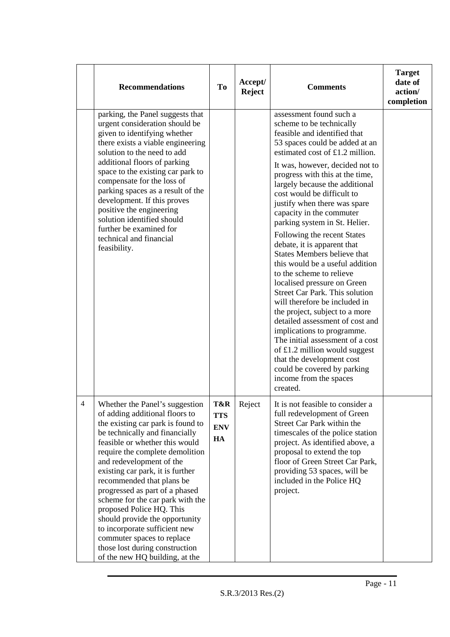|   | <b>Recommendations</b>                                                                                                                                                                                                                                                                                                                                                                                                                                                                                                                                                           | <b>To</b>                             | Accept/<br><b>Reject</b> | <b>Comments</b>                                                                                                                                                                                                                                                                                                                                                                                                                                                                                                                                                                                                                                                                                                                                                                                                                                                                                                                                     | <b>Target</b><br>date of<br>action/<br>completion |
|---|----------------------------------------------------------------------------------------------------------------------------------------------------------------------------------------------------------------------------------------------------------------------------------------------------------------------------------------------------------------------------------------------------------------------------------------------------------------------------------------------------------------------------------------------------------------------------------|---------------------------------------|--------------------------|-----------------------------------------------------------------------------------------------------------------------------------------------------------------------------------------------------------------------------------------------------------------------------------------------------------------------------------------------------------------------------------------------------------------------------------------------------------------------------------------------------------------------------------------------------------------------------------------------------------------------------------------------------------------------------------------------------------------------------------------------------------------------------------------------------------------------------------------------------------------------------------------------------------------------------------------------------|---------------------------------------------------|
|   | parking, the Panel suggests that<br>urgent consideration should be<br>given to identifying whether<br>there exists a viable engineering<br>solution to the need to add<br>additional floors of parking<br>space to the existing car park to<br>compensate for the loss of<br>parking spaces as a result of the<br>development. If this proves<br>positive the engineering<br>solution identified should<br>further be examined for<br>technical and financial<br>feasibility.                                                                                                    |                                       |                          | assessment found such a<br>scheme to be technically<br>feasible and identified that<br>53 spaces could be added at an<br>estimated cost of £1.2 million.<br>It was, however, decided not to<br>progress with this at the time,<br>largely because the additional<br>cost would be difficult to<br>justify when there was spare<br>capacity in the commuter<br>parking system in St. Helier.<br>Following the recent States<br>debate, it is apparent that<br><b>States Members believe that</b><br>this would be a useful addition<br>to the scheme to relieve<br>localised pressure on Green<br><b>Street Car Park. This solution</b><br>will therefore be included in<br>the project, subject to a more<br>detailed assessment of cost and<br>implications to programme.<br>The initial assessment of a cost<br>of $£1.2$ million would suggest<br>that the development cost<br>could be covered by parking<br>income from the spaces<br>created. |                                                   |
| 4 | Whether the Panel's suggestion<br>of adding additional floors to<br>the existing car park is found to<br>be technically and financially<br>feasible or whether this would<br>require the complete demolition<br>and redevelopment of the<br>existing car park, it is further<br>recommended that plans be<br>progressed as part of a phased<br>scheme for the car park with the<br>proposed Police HQ. This<br>should provide the opportunity<br>to incorporate sufficient new<br>commuter spaces to replace<br>those lost during construction<br>of the new HQ building, at the | T&R<br><b>TTS</b><br><b>ENV</b><br>HA | Reject                   | It is not feasible to consider a<br>full redevelopment of Green<br>Street Car Park within the<br>timescales of the police station<br>project. As identified above, a<br>proposal to extend the top<br>floor of Green Street Car Park,<br>providing 53 spaces, will be<br>included in the Police HQ<br>project.                                                                                                                                                                                                                                                                                                                                                                                                                                                                                                                                                                                                                                      |                                                   |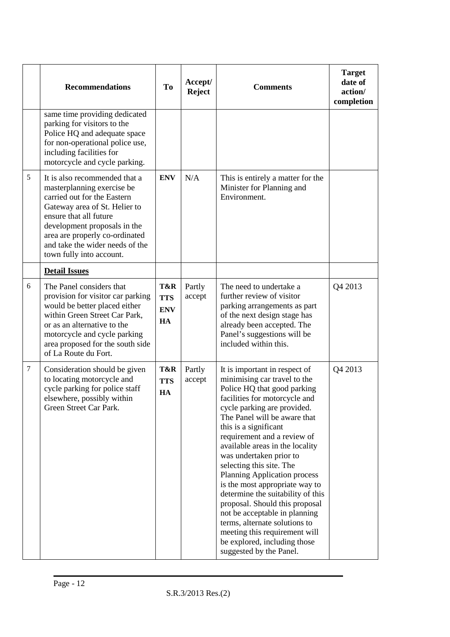|                  | <b>Recommendations</b>                                                                                                                                                                                                                                                                 | T <sub>0</sub>                        | Accept/<br><b>Reject</b> | <b>Comments</b>                                                                                                                                                                                                                                                                                                                                                                                                                                                                                                                                                                                                                                              | <b>Target</b><br>date of<br>action/<br>completion |
|------------------|----------------------------------------------------------------------------------------------------------------------------------------------------------------------------------------------------------------------------------------------------------------------------------------|---------------------------------------|--------------------------|--------------------------------------------------------------------------------------------------------------------------------------------------------------------------------------------------------------------------------------------------------------------------------------------------------------------------------------------------------------------------------------------------------------------------------------------------------------------------------------------------------------------------------------------------------------------------------------------------------------------------------------------------------------|---------------------------------------------------|
|                  | same time providing dedicated<br>parking for visitors to the<br>Police HQ and adequate space<br>for non-operational police use,<br>including facilities for<br>motorcycle and cycle parking.                                                                                           |                                       |                          |                                                                                                                                                                                                                                                                                                                                                                                                                                                                                                                                                                                                                                                              |                                                   |
| 5                | It is also recommended that a<br>masterplanning exercise be<br>carried out for the Eastern<br>Gateway area of St. Helier to<br>ensure that all future<br>development proposals in the<br>area are properly co-ordinated<br>and take the wider needs of the<br>town fully into account. | <b>ENV</b>                            | N/A                      | This is entirely a matter for the<br>Minister for Planning and<br>Environment.                                                                                                                                                                                                                                                                                                                                                                                                                                                                                                                                                                               |                                                   |
|                  | <b>Detail Issues</b>                                                                                                                                                                                                                                                                   |                                       |                          |                                                                                                                                                                                                                                                                                                                                                                                                                                                                                                                                                                                                                                                              |                                                   |
| 6                | The Panel considers that<br>provision for visitor car parking<br>would be better placed either<br>within Green Street Car Park,<br>or as an alternative to the<br>motorcycle and cycle parking<br>area proposed for the south side<br>of La Route du Fort.                             | T&R<br><b>TTS</b><br><b>ENV</b><br>HA | Partly<br>accept         | The need to undertake a<br>further review of visitor<br>parking arrangements as part<br>of the next design stage has<br>already been accepted. The<br>Panel's suggestions will be<br>included within this.                                                                                                                                                                                                                                                                                                                                                                                                                                                   | Q4 2013                                           |
| $\boldsymbol{7}$ | Consideration should be given<br>to locating motorcycle and<br>cycle parking for police staff<br>elsewhere, possibly within<br>Green Street Car Park.                                                                                                                                  | T&R<br><b>TTS</b><br>HA               | Partly<br>accept         | It is important in respect of<br>minimising car travel to the<br>Police HQ that good parking<br>facilities for motorcycle and<br>cycle parking are provided.<br>The Panel will be aware that<br>this is a significant<br>requirement and a review of<br>available areas in the locality<br>was undertaken prior to<br>selecting this site. The<br><b>Planning Application process</b><br>is the most appropriate way to<br>determine the suitability of this<br>proposal. Should this proposal<br>not be acceptable in planning<br>terms, alternate solutions to<br>meeting this requirement will<br>be explored, including those<br>suggested by the Panel. | Q4 2013                                           |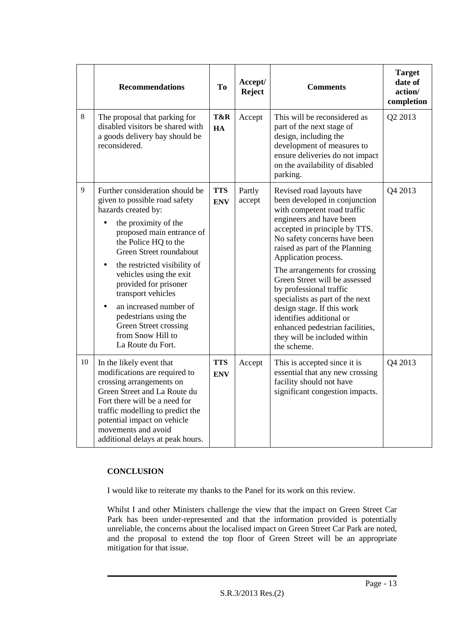|       | <b>Recommendations</b>                                                                                                                                                                                                                                                                                                                                                                                                                       | T <sub>o</sub>           | Accept/<br><b>Reject</b> | <b>Comments</b>                                                                                                                                                                                                                                                                                                                                                                                                                                                                                                             | <b>Target</b><br>date of<br>action/<br>completion |
|-------|----------------------------------------------------------------------------------------------------------------------------------------------------------------------------------------------------------------------------------------------------------------------------------------------------------------------------------------------------------------------------------------------------------------------------------------------|--------------------------|--------------------------|-----------------------------------------------------------------------------------------------------------------------------------------------------------------------------------------------------------------------------------------------------------------------------------------------------------------------------------------------------------------------------------------------------------------------------------------------------------------------------------------------------------------------------|---------------------------------------------------|
| $8\,$ | The proposal that parking for<br>disabled visitors be shared with<br>a goods delivery bay should be<br>reconsidered.                                                                                                                                                                                                                                                                                                                         | T&R<br>HA                | Accept                   | This will be reconsidered as<br>part of the next stage of<br>design, including the<br>development of measures to<br>ensure deliveries do not impact<br>on the availability of disabled<br>parking.                                                                                                                                                                                                                                                                                                                          | Q2 2013                                           |
| 9     | Further consideration should be<br>given to possible road safety<br>hazards created by:<br>the proximity of the<br>proposed main entrance of<br>the Police HQ to the<br>Green Street roundabout<br>the restricted visibility of<br>$\bullet$<br>vehicles using the exit<br>provided for prisoner<br>transport vehicles<br>an increased number of<br>pedestrians using the<br>Green Street crossing<br>from Snow Hill to<br>La Route du Fort. | <b>TTS</b><br><b>ENV</b> | Partly<br>accept         | Revised road layouts have<br>been developed in conjunction<br>with competent road traffic<br>engineers and have been<br>accepted in principle by TTS.<br>No safety concerns have been<br>raised as part of the Planning<br>Application process.<br>The arrangements for crossing<br>Green Street will be assessed<br>by professional traffic<br>specialists as part of the next<br>design stage. If this work<br>identifies additional or<br>enhanced pedestrian facilities,<br>they will be included within<br>the scheme. | Q4 2013                                           |
| 10    | In the likely event that<br>modifications are required to<br>crossing arrangements on<br>Green Street and La Route du<br>Fort there will be a need for<br>traffic modelling to predict the<br>potential impact on vehicle<br>movements and avoid<br>additional delays at peak hours.                                                                                                                                                         | <b>TTS</b><br><b>ENV</b> | Accept                   | This is accepted since it is<br>essential that any new crossing<br>facility should not have<br>significant congestion impacts.                                                                                                                                                                                                                                                                                                                                                                                              | Q4 2013                                           |

### **CONCLUSION**

I would like to reiterate my thanks to the Panel for its work on this review.

Whilst I and other Ministers challenge the view that the impact on Green Street Car Park has been under-represented and that the information provided is potentially unreliable, the concerns about the localised impact on Green Street Car Park are noted, and the proposal to extend the top floor of Green Street will be an appropriate mitigation for that issue.